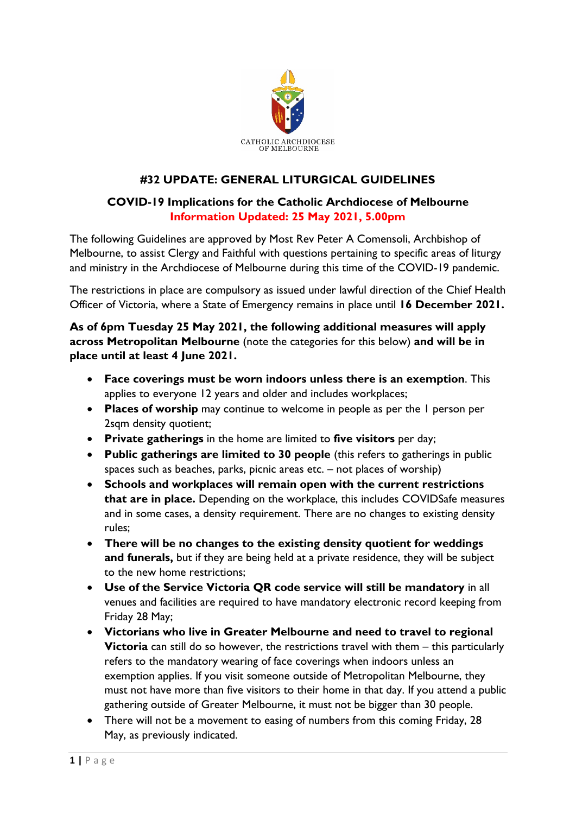

# **#32 UPDATE: GENERAL LITURGICAL GUIDELINES**

### **COVID-19 Implications for the Catholic Archdiocese of Melbourne Information Updated: 25 May 2021, 5.00pm**

The following Guidelines are approved by Most Rev Peter A Comensoli, Archbishop of Melbourne, to assist Clergy and Faithful with questions pertaining to specific areas of liturgy and ministry in the Archdiocese of Melbourne during this time of the COVID-19 pandemic.

The restrictions in place are compulsory as issued under lawful direction of the Chief Health Officer of Victoria, where a State of Emergency remains in place until **16 December 2021.**

**As of 6pm Tuesday 25 May 2021, the following additional measures will apply across Metropolitan Melbourne** (note the categories for this below) **and will be in place until at least 4 June 2021.**

- **Face coverings must be worn indoors unless there is an exemption**. This applies to everyone 12 years and older and includes workplaces;
- **Places of worship** may continue to welcome in people as per the 1 person per 2sqm density quotient;
- **Private gatherings** in the home are limited to **five visitors** per day;
- **Public gatherings are limited to 30 people** (this refers to gatherings in public spaces such as beaches, parks, picnic areas etc. – not places of worship)
- **Schools and workplaces will remain open with the current restrictions that are in place.** Depending on the workplace, this includes COVIDSafe measures and in some cases, a density requirement. There are no changes to existing density rules;
- **There will be no changes to the existing density quotient for weddings and funerals,** but if they are being held at a private residence, they will be subject to the new home restrictions;
- **Use of the Service Victoria QR code service will still be mandatory** in all venues and facilities are required to have mandatory electronic record keeping from Friday 28 May;
- **Victorians who live in Greater Melbourne and need to travel to regional Victoria** can still do so however, the restrictions travel with them – this particularly refers to the mandatory wearing of face coverings when indoors unless an exemption applies. If you visit someone outside of Metropolitan Melbourne, they must not have more than five visitors to their home in that day. If you attend a public gathering outside of Greater Melbourne, it must not be bigger than 30 people.
- There will not be a movement to easing of numbers from this coming Friday, 28 May, as previously indicated.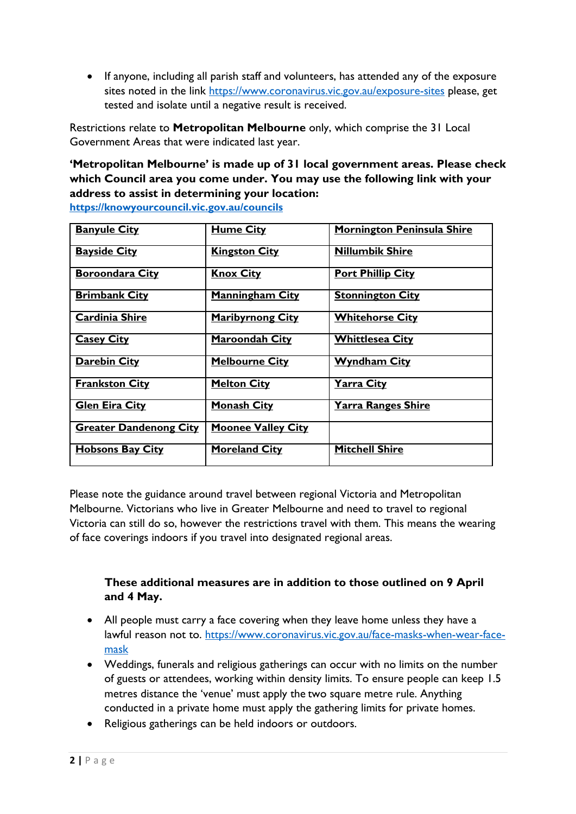• If anyone, including all parish staff and volunteers, has attended any of the exposure sites noted in the link<https://www.coronavirus.vic.gov.au/exposure-sites> please, get tested and isolate until a negative result is received.

Restrictions relate to **Metropolitan Melbourne** only, which comprise the 31 Local Government Areas that were indicated last year.

# **'Metropolitan Melbourne' is made up of 31 local government areas. Please check which Council area you come under. You may use the following link with your address to assist in determining your location:**

| <b>Banyule City</b>           | <b>Hume City</b>          | <b>Mornington Peninsula Shire</b> |
|-------------------------------|---------------------------|-----------------------------------|
| <b>Bayside City</b>           | <b>Kingston City</b>      | <b>Nillumbik Shire</b>            |
| <b>Boroondara City</b>        | <b>Knox City</b>          | <b>Port Phillip City</b>          |
| <b>Brimbank City</b>          | <b>Manningham City</b>    | <b>Stonnington City</b>           |
| <b>Cardinia Shire</b>         | <b>Maribyrnong City</b>   | <b>Whitehorse City</b>            |
| <b>Casey City</b>             | <b>Maroondah City</b>     | <b>Whittlesea City</b>            |
| <b>Darebin City</b>           | <b>Melbourne City</b>     | <b>Wyndham City</b>               |
| <b>Frankston City</b>         | <b>Melton City</b>        | <u> Yarra City</u>                |
| <b>Glen Eira City</b>         | <b>Monash City</b>        | <u> Yarra Ranges Shire</u>        |
| <b>Greater Dandenong City</b> | <b>Moonee Valley City</b> |                                   |
| <b>Hobsons Bay City</b>       | <b>Moreland City</b>      | <b>Mitchell Shire</b>             |

**<https://knowyourcouncil.vic.gov.au/councils>**

Please note the guidance around travel between regional Victoria and Metropolitan Melbourne. Victorians who live in Greater Melbourne and need to travel to regional Victoria can still do so, however the restrictions travel with them. This means the wearing of face coverings indoors if you travel into designated regional areas.

### **These additional measures are in addition to those outlined on 9 April and 4 May.**

- All people must carry a face covering when they leave home unless they have a lawful reason not to. [https://www.coronavirus.vic.gov.au/face-masks-when-wear-face](https://www.coronavirus.vic.gov.au/face-masks-when-wear-face-mask)[mask](https://www.coronavirus.vic.gov.au/face-masks-when-wear-face-mask)
- Weddings, funerals and religious gatherings can occur with no limits on the number of guests or attendees, working within density limits. To ensure people can keep 1.5 metres distance the 'venue' must apply the two square metre rule. Anything conducted in a private home must apply the gathering limits for private homes.
- Religious gatherings can be held indoors or outdoors.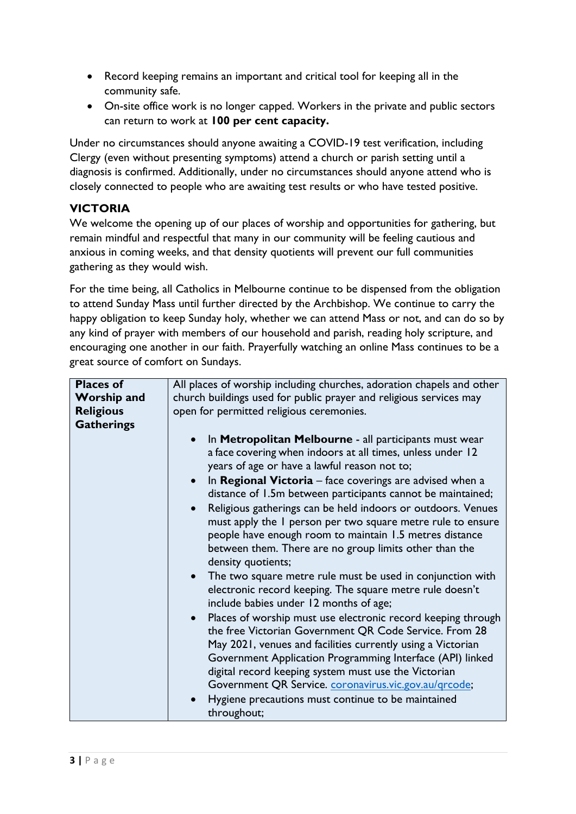- Record keeping remains an important and critical tool for keeping all in the community safe.
- On-site office work is no longer capped. Workers in the private and public sectors can return to work at **100 per cent capacity.**

Under no circumstances should anyone awaiting a COVID-19 test verification, including Clergy (even without presenting symptoms) attend a church or parish setting until a diagnosis is confirmed. Additionally, under no circumstances should anyone attend who is closely connected to people who are awaiting test results or who have tested positive.

### **VICTORIA**

We welcome the opening up of our places of worship and opportunities for gathering, but remain mindful and respectful that many in our community will be feeling cautious and anxious in coming weeks, and that density quotients will prevent our full communities gathering as they would wish.

For the time being, all Catholics in Melbourne continue to be dispensed from the obligation to attend Sunday Mass until further directed by the Archbishop. We continue to carry the happy obligation to keep Sunday holy, whether we can attend Mass or not, and can do so by any kind of prayer with members of our household and parish, reading holy scripture, and encouraging one another in our faith. Prayerfully watching an online Mass continues to be a great source of comfort on Sundays.

| <b>Places of</b>   | All places of worship including churches, adoration chapels and other                                                                                                                                                                                                                                                                                                                                                                                                                                                                                                       |
|--------------------|-----------------------------------------------------------------------------------------------------------------------------------------------------------------------------------------------------------------------------------------------------------------------------------------------------------------------------------------------------------------------------------------------------------------------------------------------------------------------------------------------------------------------------------------------------------------------------|
| <b>Worship and</b> | church buildings used for public prayer and religious services may                                                                                                                                                                                                                                                                                                                                                                                                                                                                                                          |
| <b>Religious</b>   | open for permitted religious ceremonies.                                                                                                                                                                                                                                                                                                                                                                                                                                                                                                                                    |
| <b>Gatherings</b>  |                                                                                                                                                                                                                                                                                                                                                                                                                                                                                                                                                                             |
|                    | In Metropolitan Melbourne - all participants must wear<br>a face covering when indoors at all times, unless under 12<br>years of age or have a lawful reason not to;<br>In Regional Victoria $-$ face coverings are advised when a<br>distance of 1.5m between participants cannot be maintained;<br>Religious gatherings can be held indoors or outdoors. Venues<br>must apply the I person per two square metre rule to ensure<br>people have enough room to maintain 1.5 metres distance<br>between them. There are no group limits other than the<br>density quotients; |
|                    | The two square metre rule must be used in conjunction with<br>electronic record keeping. The square metre rule doesn't<br>include babies under 12 months of age;                                                                                                                                                                                                                                                                                                                                                                                                            |
|                    | Places of worship must use electronic record keeping through<br>the free Victorian Government QR Code Service. From 28<br>May 2021, venues and facilities currently using a Victorian<br>Government Application Programming Interface (API) linked<br>digital record keeping system must use the Victorian<br>Government QR Service. coronavirus.vic.gov.au/grcode;                                                                                                                                                                                                         |
|                    | Hygiene precautions must continue to be maintained<br>throughout;                                                                                                                                                                                                                                                                                                                                                                                                                                                                                                           |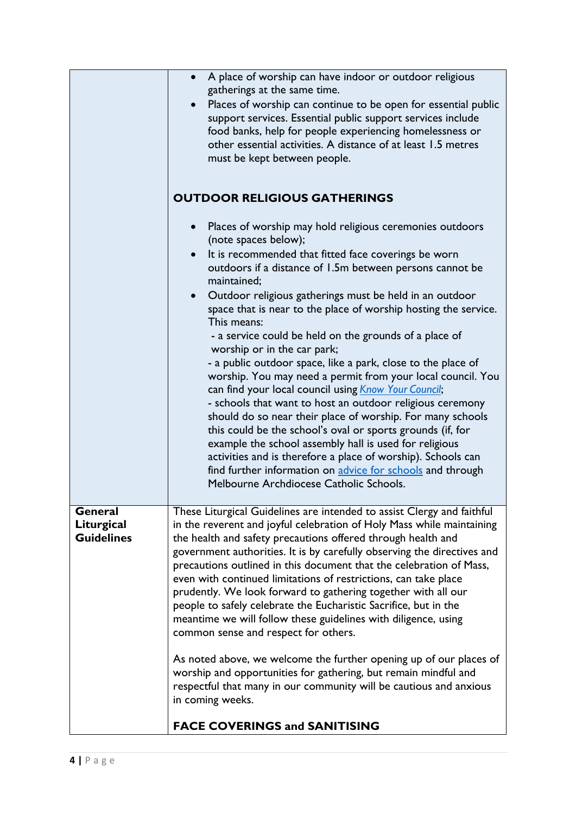|                                            | • A place of worship can have indoor or outdoor religious<br>gatherings at the same time.<br>Places of worship can continue to be open for essential public<br>support services. Essential public support services include<br>food banks, help for people experiencing homelessness or<br>other essential activities. A distance of at least 1.5 metres<br>must be kept between people.<br><b>OUTDOOR RELIGIOUS GATHERINGS</b><br>Places of worship may hold religious ceremonies outdoors<br>$\bullet$<br>(note spaces below);<br>It is recommended that fitted face coverings be worn<br>outdoors if a distance of 1.5m between persons cannot be<br>maintained;<br>Outdoor religious gatherings must be held in an outdoor<br>space that is near to the place of worship hosting the service. |
|--------------------------------------------|--------------------------------------------------------------------------------------------------------------------------------------------------------------------------------------------------------------------------------------------------------------------------------------------------------------------------------------------------------------------------------------------------------------------------------------------------------------------------------------------------------------------------------------------------------------------------------------------------------------------------------------------------------------------------------------------------------------------------------------------------------------------------------------------------|
|                                            | This means:<br>- a service could be held on the grounds of a place of<br>worship or in the car park;<br>- a public outdoor space, like a park, close to the place of<br>worship. You may need a permit from your local council. You<br>can find your local council using Know Your Council;<br>- schools that want to host an outdoor religious ceremony<br>should do so near their place of worship. For many schools<br>this could be the school's oval or sports grounds (if, for<br>example the school assembly hall is used for religious<br>activities and is therefore a place of worship). Schools can<br>find further information on advice for schools and through<br>Melbourne Archdiocese Catholic Schools.                                                                          |
| General<br>Liturgical<br><b>Guidelines</b> | These Liturgical Guidelines are intended to assist Clergy and faithful<br>in the reverent and joyful celebration of Holy Mass while maintaining<br>the health and safety precautions offered through health and<br>government authorities. It is by carefully observing the directives and<br>precautions outlined in this document that the celebration of Mass,<br>even with continued limitations of restrictions, can take place<br>prudently. We look forward to gathering together with all our<br>people to safely celebrate the Eucharistic Sacrifice, but in the<br>meantime we will follow these guidelines with diligence, using<br>common sense and respect for others.                                                                                                              |
|                                            | As noted above, we welcome the further opening up of our places of<br>worship and opportunities for gathering, but remain mindful and<br>respectful that many in our community will be cautious and anxious<br>in coming weeks.<br><b>FACE COVERINGS and SANITISING</b>                                                                                                                                                                                                                                                                                                                                                                                                                                                                                                                          |
|                                            |                                                                                                                                                                                                                                                                                                                                                                                                                                                                                                                                                                                                                                                                                                                                                                                                  |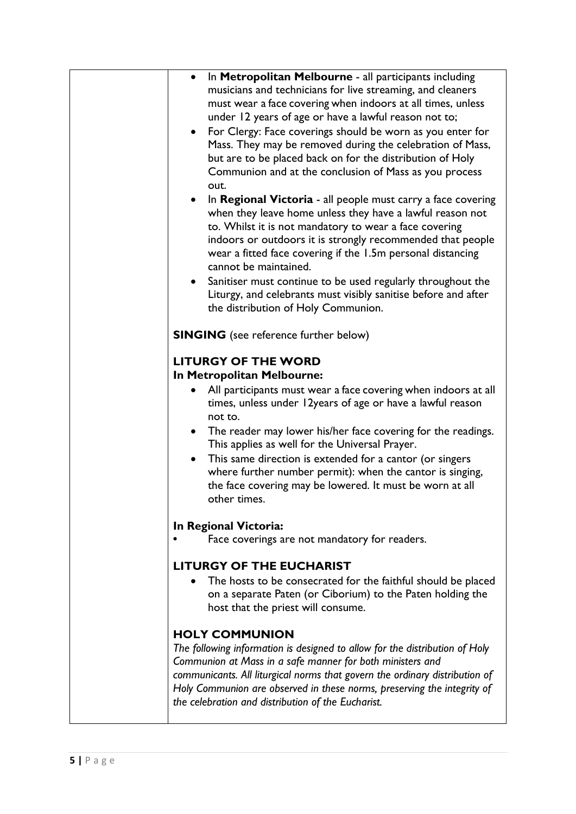| • In Metropolitan Melbourne - all participants including<br>musicians and technicians for live streaming, and cleaners<br>must wear a face covering when indoors at all times, unless<br>under 12 years of age or have a lawful reason not to;<br>For Clergy: Face coverings should be worn as you enter for<br>Mass. They may be removed during the celebration of Mass,<br>but are to be placed back on for the distribution of Holy<br>Communion and at the conclusion of Mass as you process<br>out.<br>In Regional Victoria - all people must carry a face covering<br>when they leave home unless they have a lawful reason not<br>to. Whilst it is not mandatory to wear a face covering<br>indoors or outdoors it is strongly recommended that people<br>wear a fitted face covering if the 1.5m personal distancing |
|------------------------------------------------------------------------------------------------------------------------------------------------------------------------------------------------------------------------------------------------------------------------------------------------------------------------------------------------------------------------------------------------------------------------------------------------------------------------------------------------------------------------------------------------------------------------------------------------------------------------------------------------------------------------------------------------------------------------------------------------------------------------------------------------------------------------------|
| cannot be maintained.<br>Sanitiser must continue to be used regularly throughout the<br>Liturgy, and celebrants must visibly sanitise before and after<br>the distribution of Holy Communion.                                                                                                                                                                                                                                                                                                                                                                                                                                                                                                                                                                                                                                |
| <b>SINGING</b> (see reference further below)                                                                                                                                                                                                                                                                                                                                                                                                                                                                                                                                                                                                                                                                                                                                                                                 |
| <b>LITURGY OF THE WORD</b><br>In Metropolitan Melbourne:<br>All participants must wear a face covering when indoors at all<br>times, unless under 12 years of age or have a lawful reason<br>not to.<br>• The reader may lower his/her face covering for the readings.<br>This applies as well for the Universal Prayer.<br>This same direction is extended for a cantor (or singers<br>$\bullet$<br>where further number permit): when the cantor is singing,<br>the face covering may be lowered. It must be worn at all<br>other times.                                                                                                                                                                                                                                                                                   |
| In Regional Victoria:<br>Face coverings are not mandatory for readers.                                                                                                                                                                                                                                                                                                                                                                                                                                                                                                                                                                                                                                                                                                                                                       |
| <b>LITURGY OF THE EUCHARIST</b><br>The hosts to be consecrated for the faithful should be placed<br>on a separate Paten (or Ciborium) to the Paten holding the<br>host that the priest will consume.                                                                                                                                                                                                                                                                                                                                                                                                                                                                                                                                                                                                                         |
| <b>HOLY COMMUNION</b><br>The following information is designed to allow for the distribution of Holy<br>Communion at Mass in a safe manner for both ministers and<br>communicants. All liturgical norms that govern the ordinary distribution of<br>Holy Communion are observed in these norms, preserving the integrity of<br>the celebration and distribution of the Eucharist.                                                                                                                                                                                                                                                                                                                                                                                                                                            |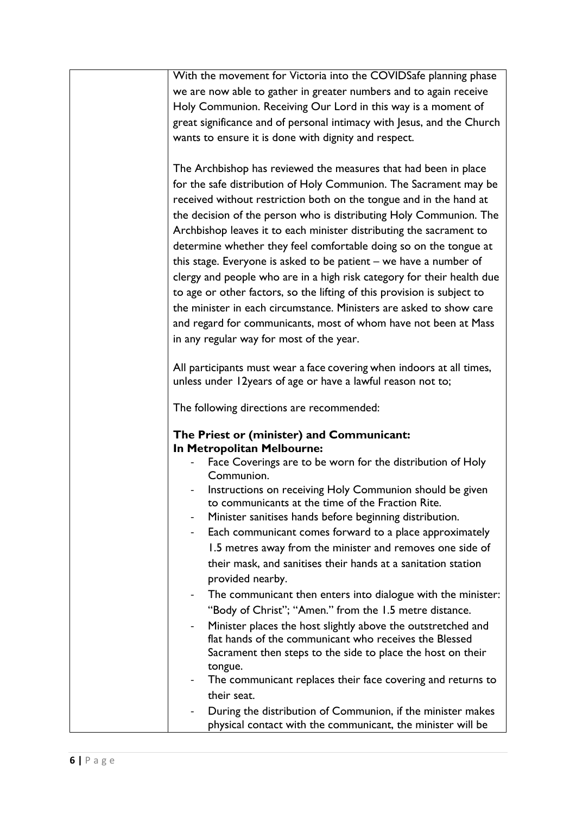| With the movement for Victoria into the COVIDSafe planning phase         |
|--------------------------------------------------------------------------|
| we are now able to gather in greater numbers and to again receive        |
| Holy Communion. Receiving Our Lord in this way is a moment of            |
| great significance and of personal intimacy with Jesus, and the Church   |
| wants to ensure it is done with dignity and respect.                     |
|                                                                          |
| The Archbishop has reviewed the measures that had been in place          |
| for the safe distribution of Holy Communion. The Sacrament may be        |
|                                                                          |
| received without restriction both on the tongue and in the hand at       |
| the decision of the person who is distributing Holy Communion. The       |
| Archbishop leaves it to each minister distributing the sacrament to      |
| determine whether they feel comfortable doing so on the tongue at        |
| this stage. Everyone is asked to be patient $-$ we have a number of      |
| clergy and people who are in a high risk category for their health due   |
| to age or other factors, so the lifting of this provision is subject to  |
| the minister in each circumstance. Ministers are asked to show care      |
| and regard for communicants, most of whom have not been at Mass          |
| in any regular way for most of the year.                                 |
|                                                                          |
| All participants must wear a face covering when indoors at all times,    |
| unless under 12years of age or have a lawful reason not to;              |
| The following directions are recommended:                                |
| The Priest or (minister) and Communicant:<br>In Metropolitan Melbourne:  |
| Face Coverings are to be worn for the distribution of Holy<br>Communion. |
| Instructions on receiving Holy Communion should be given                 |
| to communicants at the time of the Fraction Rite.                        |
| Minister sanitises hands before beginning distribution.                  |
| Each communicant comes forward to a place approximately                  |
| 1.5 metres away from the minister and removes one side of                |
| their mask, and sanitises their hands at a sanitation station            |
| provided nearby.                                                         |
| The communicant then enters into dialogue with the minister:             |
| "Body of Christ"; "Amen." from the 1.5 metre distance.                   |
| Minister places the host slightly above the outstretched and             |
| flat hands of the communicant who receives the Blessed                   |
| Sacrament then steps to the side to place the host on their              |
| tongue.                                                                  |
| The communicant replaces their face covering and returns to              |
| their seat.                                                              |
| During the distribution of Communion, if the minister makes              |
| physical contact with the communicant, the minister will be              |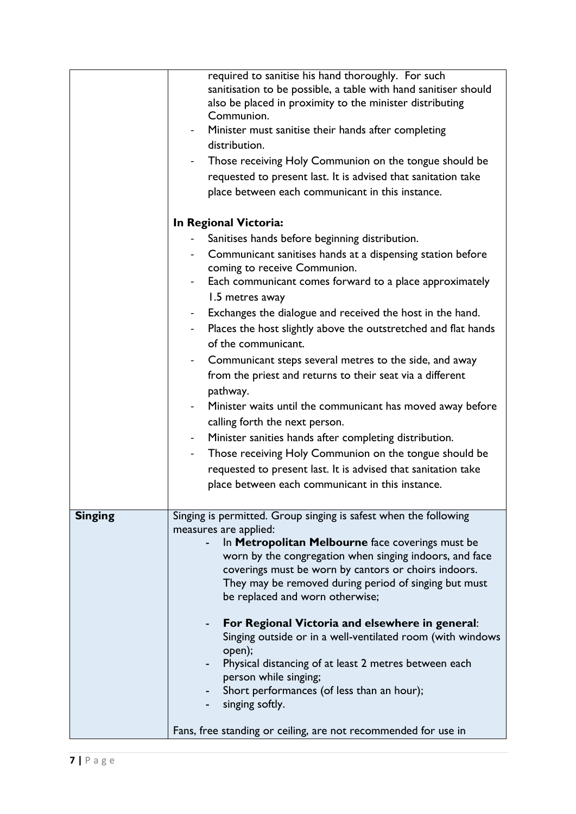|                | required to sanitise his hand thoroughly. For such<br>sanitisation to be possible, a table with hand sanitiser should<br>also be placed in proximity to the minister distributing<br>Communion.<br>Minister must sanitise their hands after completing<br>distribution.<br>Those receiving Holy Communion on the tongue should be<br>requested to present last. It is advised that sanitation take<br>place between each communicant in this instance.<br>In Regional Victoria:<br>Sanitises hands before beginning distribution.<br>Communicant sanitises hands at a dispensing station before<br>coming to receive Communion.<br>Each communicant comes forward to a place approximately<br>1.5 metres away<br>Exchanges the dialogue and received the host in the hand.<br>Places the host slightly above the outstretched and flat hands<br>of the communicant.<br>Communicant steps several metres to the side, and away<br>from the priest and returns to their seat via a different<br>pathway.<br>Minister waits until the communicant has moved away before<br>calling forth the next person. |
|----------------|--------------------------------------------------------------------------------------------------------------------------------------------------------------------------------------------------------------------------------------------------------------------------------------------------------------------------------------------------------------------------------------------------------------------------------------------------------------------------------------------------------------------------------------------------------------------------------------------------------------------------------------------------------------------------------------------------------------------------------------------------------------------------------------------------------------------------------------------------------------------------------------------------------------------------------------------------------------------------------------------------------------------------------------------------------------------------------------------------------|
|                | requested to present last. It is advised that sanitation take<br>place between each communicant in this instance.                                                                                                                                                                                                                                                                                                                                                                                                                                                                                                                                                                                                                                                                                                                                                                                                                                                                                                                                                                                      |
|                |                                                                                                                                                                                                                                                                                                                                                                                                                                                                                                                                                                                                                                                                                                                                                                                                                                                                                                                                                                                                                                                                                                        |
| <b>Singing</b> | Singing is permitted. Group singing is safest when the following<br>measures are applied:<br>In Metropolitan Melbourne face coverings must be<br>worn by the congregation when singing indoors, and face<br>coverings must be worn by cantors or choirs indoors.<br>They may be removed during period of singing but must<br>be replaced and worn otherwise;<br>For Regional Victoria and elsewhere in general:<br>Singing outside or in a well-ventilated room (with windows<br>open);<br>Physical distancing of at least 2 metres between each<br>person while singing;<br>Short performances (of less than an hour);<br>singing softly.<br>Fans, free standing or ceiling, are not recommended for use in                                                                                                                                                                                                                                                                                                                                                                                           |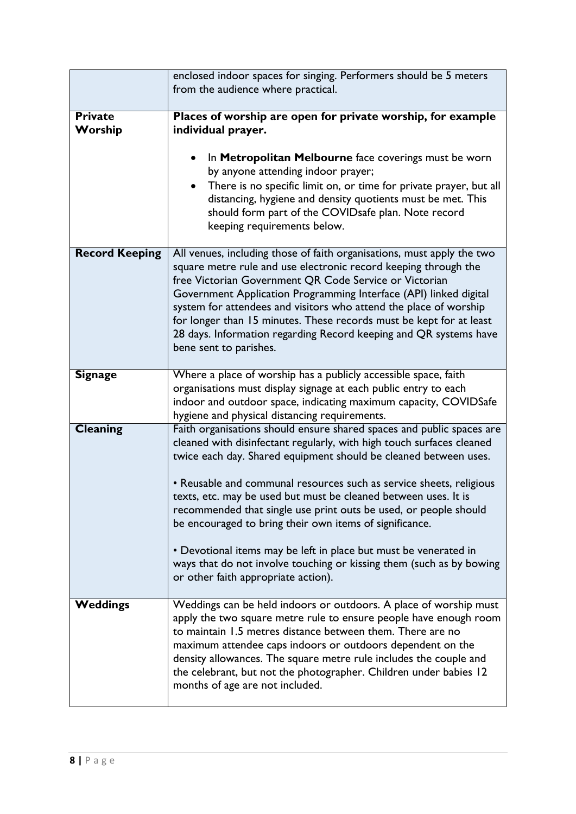|                           | enclosed indoor spaces for singing. Performers should be 5 meters<br>from the audience where practical.                                                                                                                                                                                                                                                                                                                                                                                                             |
|---------------------------|---------------------------------------------------------------------------------------------------------------------------------------------------------------------------------------------------------------------------------------------------------------------------------------------------------------------------------------------------------------------------------------------------------------------------------------------------------------------------------------------------------------------|
| <b>Private</b><br>Worship | Places of worship are open for private worship, for example<br>individual prayer.                                                                                                                                                                                                                                                                                                                                                                                                                                   |
|                           | In Metropolitan Melbourne face coverings must be worn<br>by anyone attending indoor prayer;<br>There is no specific limit on, or time for private prayer, but all<br>distancing, hygiene and density quotients must be met. This<br>should form part of the COVIDsafe plan. Note record<br>keeping requirements below.                                                                                                                                                                                              |
| <b>Record Keeping</b>     | All venues, including those of faith organisations, must apply the two<br>square metre rule and use electronic record keeping through the<br>free Victorian Government QR Code Service or Victorian<br>Government Application Programming Interface (API) linked digital<br>system for attendees and visitors who attend the place of worship<br>for longer than 15 minutes. These records must be kept for at least<br>28 days. Information regarding Record keeping and QR systems have<br>bene sent to parishes. |
| <b>Signage</b>            | Where a place of worship has a publicly accessible space, faith<br>organisations must display signage at each public entry to each<br>indoor and outdoor space, indicating maximum capacity, COVIDSafe<br>hygiene and physical distancing requirements.                                                                                                                                                                                                                                                             |
| <b>Cleaning</b>           | Faith organisations should ensure shared spaces and public spaces are<br>cleaned with disinfectant regularly, with high touch surfaces cleaned<br>twice each day. Shared equipment should be cleaned between uses.                                                                                                                                                                                                                                                                                                  |
|                           | • Reusable and communal resources such as service sheets, religious<br>texts, etc. may be used but must be cleaned between uses. It is<br>recommended that single use print outs be used, or people should<br>be encouraged to bring their own items of significance.                                                                                                                                                                                                                                               |
|                           | • Devotional items may be left in place but must be venerated in<br>ways that do not involve touching or kissing them (such as by bowing<br>or other faith appropriate action).                                                                                                                                                                                                                                                                                                                                     |
| Weddings                  | Weddings can be held indoors or outdoors. A place of worship must<br>apply the two square metre rule to ensure people have enough room<br>to maintain 1.5 metres distance between them. There are no<br>maximum attendee caps indoors or outdoors dependent on the<br>density allowances. The square metre rule includes the couple and<br>the celebrant, but not the photographer. Children under babies 12<br>months of age are not included.                                                                     |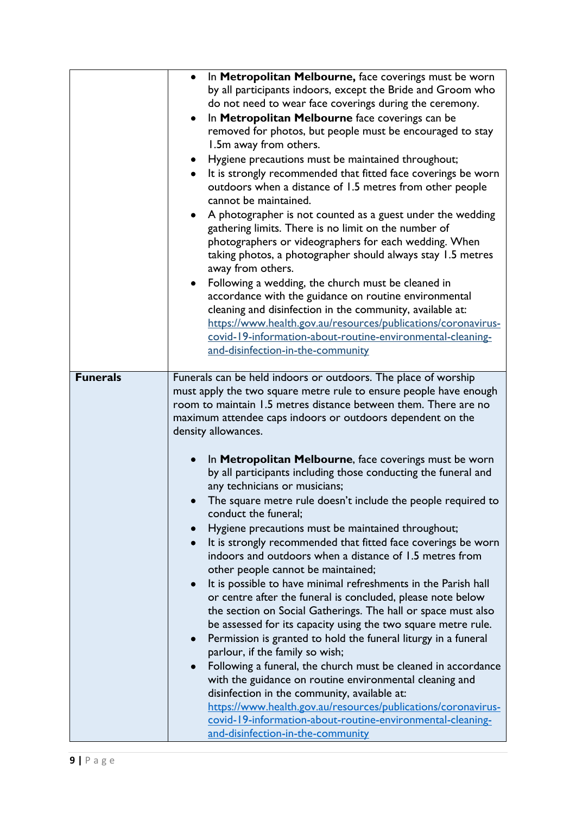|                 | In Metropolitan Melbourne, face coverings must be worn<br>by all participants indoors, except the Bride and Groom who<br>do not need to wear face coverings during the ceremony.<br>In Metropolitan Melbourne face coverings can be<br>$\bullet$<br>removed for photos, but people must be encouraged to stay<br>1.5m away from others.<br>Hygiene precautions must be maintained throughout;<br>٠<br>It is strongly recommended that fitted face coverings be worn<br>outdoors when a distance of 1.5 metres from other people<br>cannot be maintained.<br>A photographer is not counted as a guest under the wedding<br>gathering limits. There is no limit on the number of<br>photographers or videographers for each wedding. When<br>taking photos, a photographer should always stay 1.5 metres<br>away from others.<br>Following a wedding, the church must be cleaned in<br>accordance with the guidance on routine environmental<br>cleaning and disinfection in the community, available at:<br>https://www.health.gov.au/resources/publications/coronavirus-<br>covid-19-information-about-routine-environmental-cleaning-<br>and-disinfection-in-the-community                                                                                                                                                                                                                                                                                                                                   |
|-----------------|---------------------------------------------------------------------------------------------------------------------------------------------------------------------------------------------------------------------------------------------------------------------------------------------------------------------------------------------------------------------------------------------------------------------------------------------------------------------------------------------------------------------------------------------------------------------------------------------------------------------------------------------------------------------------------------------------------------------------------------------------------------------------------------------------------------------------------------------------------------------------------------------------------------------------------------------------------------------------------------------------------------------------------------------------------------------------------------------------------------------------------------------------------------------------------------------------------------------------------------------------------------------------------------------------------------------------------------------------------------------------------------------------------------------------------------------------------------------------------------------------------------|
| <b>Funerals</b> | Funerals can be held indoors or outdoors. The place of worship<br>must apply the two square metre rule to ensure people have enough<br>room to maintain 1.5 metres distance between them. There are no<br>maximum attendee caps indoors or outdoors dependent on the<br>density allowances.<br>In Metropolitan Melbourne, face coverings must be worn<br>by all participants including those conducting the funeral and<br>any technicians or musicians;<br>The square metre rule doesn't include the people required to<br>conduct the funeral;<br>Hygiene precautions must be maintained throughout;<br>It is strongly recommended that fitted face coverings be worn<br>$\bullet$<br>indoors and outdoors when a distance of 1.5 metres from<br>other people cannot be maintained;<br>It is possible to have minimal refreshments in the Parish hall<br>or centre after the funeral is concluded, please note below<br>the section on Social Gatherings. The hall or space must also<br>be assessed for its capacity using the two square metre rule.<br>Permission is granted to hold the funeral liturgy in a funeral<br>parlour, if the family so wish;<br>Following a funeral, the church must be cleaned in accordance<br>with the guidance on routine environmental cleaning and<br>disinfection in the community, available at:<br>https://www.health.gov.au/resources/publications/coronavirus-<br>covid-19-information-about-routine-environmental-cleaning-<br>and-disinfection-in-the-community |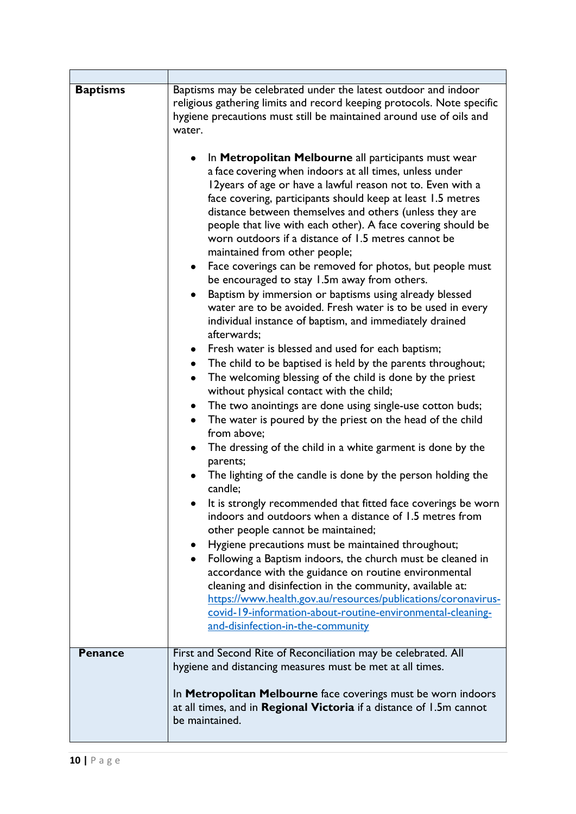| <b>Baptisms</b> | Baptisms may be celebrated under the latest outdoor and indoor<br>religious gathering limits and record keeping protocols. Note specific<br>hygiene precautions must still be maintained around use of oils and<br>water.                                                                                                                                                                                                                                       |
|-----------------|-----------------------------------------------------------------------------------------------------------------------------------------------------------------------------------------------------------------------------------------------------------------------------------------------------------------------------------------------------------------------------------------------------------------------------------------------------------------|
|                 | In Metropolitan Melbourne all participants must wear<br>a face covering when indoors at all times, unless under<br>12years of age or have a lawful reason not to. Even with a<br>face covering, participants should keep at least 1.5 metres<br>distance between themselves and others (unless they are<br>people that live with each other). A face covering should be<br>worn outdoors if a distance of 1.5 metres cannot be<br>maintained from other people; |
|                 | Face coverings can be removed for photos, but people must<br>$\bullet$                                                                                                                                                                                                                                                                                                                                                                                          |
|                 | be encouraged to stay 1.5m away from others.<br>Baptism by immersion or baptisms using already blessed<br>$\bullet$<br>water are to be avoided. Fresh water is to be used in every<br>individual instance of baptism, and immediately drained<br>afterwards;                                                                                                                                                                                                    |
|                 | • Fresh water is blessed and used for each baptism;                                                                                                                                                                                                                                                                                                                                                                                                             |
|                 | • The child to be baptised is held by the parents throughout;                                                                                                                                                                                                                                                                                                                                                                                                   |
|                 | The welcoming blessing of the child is done by the priest<br>$\bullet$<br>without physical contact with the child;                                                                                                                                                                                                                                                                                                                                              |
|                 | The two anointings are done using single-use cotton buds;<br>$\bullet$                                                                                                                                                                                                                                                                                                                                                                                          |
|                 | The water is poured by the priest on the head of the child<br>$\bullet$<br>from above;                                                                                                                                                                                                                                                                                                                                                                          |
|                 | The dressing of the child in a white garment is done by the<br>$\bullet$<br>parents;                                                                                                                                                                                                                                                                                                                                                                            |
|                 | The lighting of the candle is done by the person holding the<br>candle;                                                                                                                                                                                                                                                                                                                                                                                         |
|                 | It is strongly recommended that fitted face coverings be worn<br>indoors and outdoors when a distance of 1.5 metres from<br>other people cannot be maintained;                                                                                                                                                                                                                                                                                                  |
|                 | Hygiene precautions must be maintained throughout;<br>$\bullet$<br>Following a Baptism indoors, the church must be cleaned in<br>accordance with the guidance on routine environmental<br>cleaning and disinfection in the community, available at:                                                                                                                                                                                                             |
|                 | https://www.health.gov.au/resources/publications/coronavirus-<br>covid-19-information-about-routine-environmental-cleaning-                                                                                                                                                                                                                                                                                                                                     |
|                 | and-disinfection-in-the-community                                                                                                                                                                                                                                                                                                                                                                                                                               |
| <b>Penance</b>  | First and Second Rite of Reconciliation may be celebrated. All                                                                                                                                                                                                                                                                                                                                                                                                  |
|                 | hygiene and distancing measures must be met at all times.                                                                                                                                                                                                                                                                                                                                                                                                       |
|                 | In Metropolitan Melbourne face coverings must be worn indoors<br>at all times, and in Regional Victoria if a distance of 1.5m cannot<br>be maintained.                                                                                                                                                                                                                                                                                                          |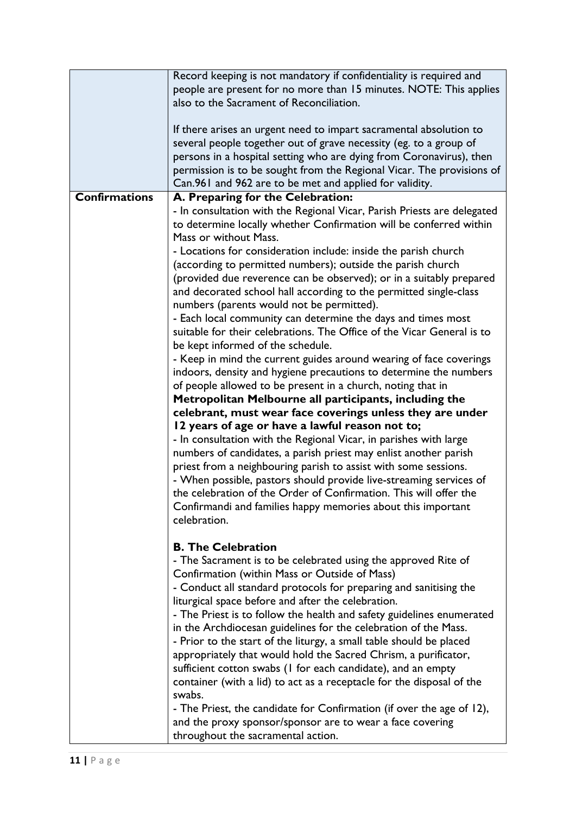|                      | Record keeping is not mandatory if confidentiality is required and      |
|----------------------|-------------------------------------------------------------------------|
|                      | people are present for no more than 15 minutes. NOTE: This applies      |
|                      | also to the Sacrament of Reconciliation.                                |
|                      |                                                                         |
|                      | If there arises an urgent need to impart sacramental absolution to      |
|                      | several people together out of grave necessity (eg. to a group of       |
|                      |                                                                         |
|                      | persons in a hospital setting who are dying from Coronavirus), then     |
|                      | permission is to be sought from the Regional Vicar. The provisions of   |
|                      | Can.961 and 962 are to be met and applied for validity.                 |
| <b>Confirmations</b> | A. Preparing for the Celebration:                                       |
|                      | - In consultation with the Regional Vicar, Parish Priests are delegated |
|                      | to determine locally whether Confirmation will be conferred within      |
|                      | Mass or without Mass.                                                   |
|                      | - Locations for consideration include: inside the parish church         |
|                      | (according to permitted numbers); outside the parish church             |
|                      |                                                                         |
|                      | (provided due reverence can be observed); or in a suitably prepared     |
|                      | and decorated school hall according to the permitted single-class       |
|                      | numbers (parents would not be permitted).                               |
|                      | - Each local community can determine the days and times most            |
|                      | suitable for their celebrations. The Office of the Vicar General is to  |
|                      | be kept informed of the schedule.                                       |
|                      | - Keep in mind the current guides around wearing of face coverings      |
|                      | indoors, density and hygiene precautions to determine the numbers       |
|                      | of people allowed to be present in a church, noting that in             |
|                      | Metropolitan Melbourne all participants, including the                  |
|                      |                                                                         |
|                      | celebrant, must wear face coverings unless they are under               |
|                      | 12 years of age or have a lawful reason not to;                         |
|                      | - In consultation with the Regional Vicar, in parishes with large       |
|                      | numbers of candidates, a parish priest may enlist another parish        |
|                      | priest from a neighbouring parish to assist with some sessions.         |
|                      | - When possible, pastors should provide live-streaming services of      |
|                      | the celebration of the Order of Confirmation. This will offer the       |
|                      | Confirmandi and families happy memories about this important            |
|                      | celebration.                                                            |
|                      |                                                                         |
|                      |                                                                         |
|                      | <b>B. The Celebration</b>                                               |
|                      | - The Sacrament is to be celebrated using the approved Rite of          |
|                      | Confirmation (within Mass or Outside of Mass)                           |
|                      | - Conduct all standard protocols for preparing and sanitising the       |
|                      | liturgical space before and after the celebration.                      |
|                      | - The Priest is to follow the health and safety guidelines enumerated   |
|                      | in the Archdiocesan guidelines for the celebration of the Mass.         |
|                      | - Prior to the start of the liturgy, a small table should be placed     |
|                      | appropriately that would hold the Sacred Chrism, a purificator,         |
|                      | sufficient cotton swabs (I for each candidate), and an empty            |
|                      |                                                                         |
|                      | container (with a lid) to act as a receptacle for the disposal of the   |
|                      | swabs.                                                                  |
|                      | - The Priest, the candidate for Confirmation (if over the age of 12),   |
|                      | and the proxy sponsor/sponsor are to wear a face covering               |
|                      | throughout the sacramental action.                                      |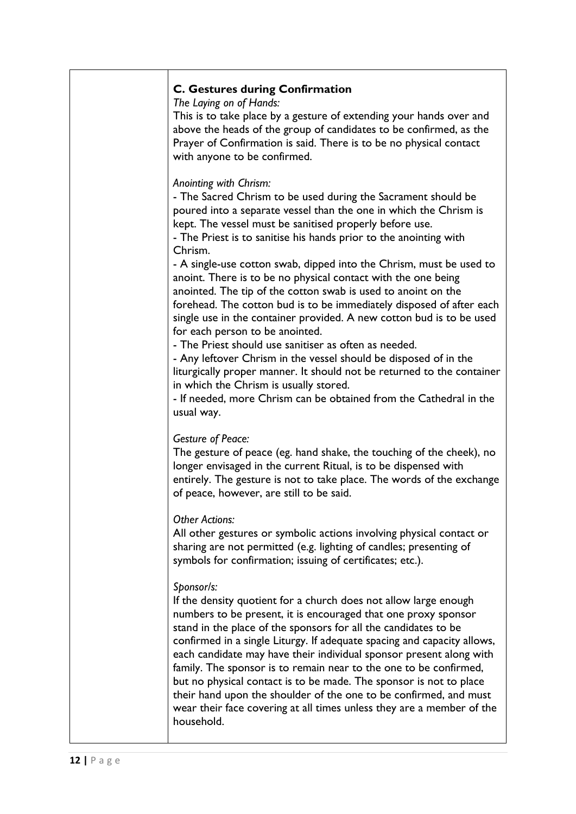| <b>C. Gestures during Confirmation</b><br>The Laying on of Hands:<br>This is to take place by a gesture of extending your hands over and<br>above the heads of the group of candidates to be confirmed, as the<br>Prayer of Confirmation is said. There is to be no physical contact<br>with anyone to be confirmed.                                                                                                                                                                                                                                                                                                                                                                                                                                                                                                                                                                                                                                                                                                                     |
|------------------------------------------------------------------------------------------------------------------------------------------------------------------------------------------------------------------------------------------------------------------------------------------------------------------------------------------------------------------------------------------------------------------------------------------------------------------------------------------------------------------------------------------------------------------------------------------------------------------------------------------------------------------------------------------------------------------------------------------------------------------------------------------------------------------------------------------------------------------------------------------------------------------------------------------------------------------------------------------------------------------------------------------|
| Anointing with Chrism:<br>- The Sacred Chrism to be used during the Sacrament should be<br>poured into a separate vessel than the one in which the Chrism is<br>kept. The vessel must be sanitised properly before use.<br>- The Priest is to sanitise his hands prior to the anointing with<br>Chrism.<br>- A single-use cotton swab, dipped into the Chrism, must be used to<br>anoint. There is to be no physical contact with the one being<br>anointed. The tip of the cotton swab is used to anoint on the<br>forehead. The cotton bud is to be immediately disposed of after each<br>single use in the container provided. A new cotton bud is to be used<br>for each person to be anointed.<br>- The Priest should use sanitiser as often as needed.<br>- Any leftover Chrism in the vessel should be disposed of in the<br>liturgically proper manner. It should not be returned to the container<br>in which the Chrism is usually stored.<br>- If needed, more Chrism can be obtained from the Cathedral in the<br>usual way. |
| <b>Gesture of Peace:</b><br>The gesture of peace (eg. hand shake, the touching of the cheek), no<br>longer envisaged in the current Ritual, is to be dispensed with<br>entirely. The gesture is not to take place. The words of the exchange<br>of peace, however, are still to be said.                                                                                                                                                                                                                                                                                                                                                                                                                                                                                                                                                                                                                                                                                                                                                 |
| <b>Other Actions:</b><br>All other gestures or symbolic actions involving physical contact or<br>sharing are not permitted (e.g. lighting of candles; presenting of<br>symbols for confirmation; issuing of certificates; etc.).                                                                                                                                                                                                                                                                                                                                                                                                                                                                                                                                                                                                                                                                                                                                                                                                         |
| Sponsor/s:<br>If the density quotient for a church does not allow large enough<br>numbers to be present, it is encouraged that one proxy sponsor<br>stand in the place of the sponsors for all the candidates to be<br>confirmed in a single Liturgy. If adequate spacing and capacity allows,<br>each candidate may have their individual sponsor present along with<br>family. The sponsor is to remain near to the one to be confirmed,<br>but no physical contact is to be made. The sponsor is not to place<br>their hand upon the shoulder of the one to be confirmed, and must<br>wear their face covering at all times unless they are a member of the<br>household.                                                                                                                                                                                                                                                                                                                                                             |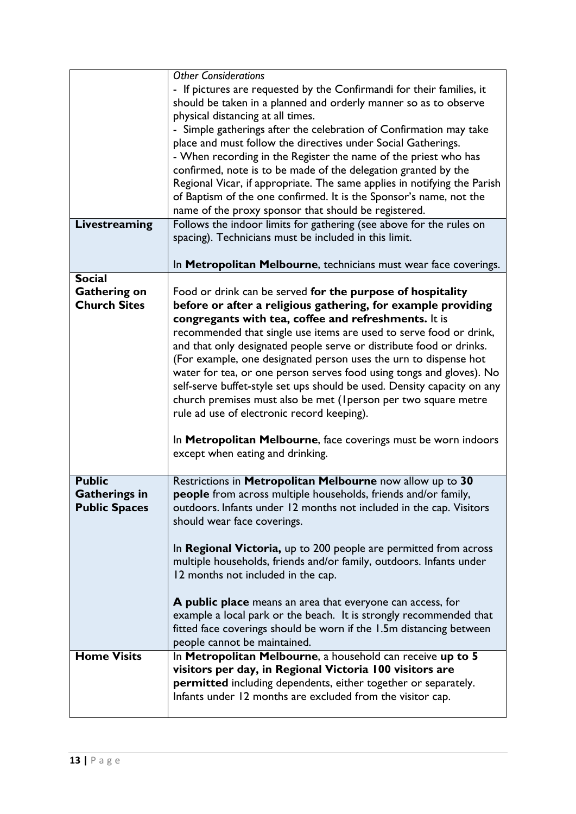|                      | <b>Other Considerations</b>                                              |
|----------------------|--------------------------------------------------------------------------|
|                      | - If pictures are requested by the Confirmandi for their families, it    |
|                      | should be taken in a planned and orderly manner so as to observe         |
|                      | physical distancing at all times.                                        |
|                      | - Simple gatherings after the celebration of Confirmation may take       |
|                      | place and must follow the directives under Social Gatherings.            |
|                      | - When recording in the Register the name of the priest who has          |
|                      | confirmed, note is to be made of the delegation granted by the           |
|                      |                                                                          |
|                      | Regional Vicar, if appropriate. The same applies in notifying the Parish |
|                      | of Baptism of the one confirmed. It is the Sponsor's name, not the       |
|                      | name of the proxy sponsor that should be registered.                     |
| Livestreaming        | Follows the indoor limits for gathering (see above for the rules on      |
|                      | spacing). Technicians must be included in this limit.                    |
|                      |                                                                          |
|                      | In Metropolitan Melbourne, technicians must wear face coverings.         |
| <b>Social</b>        |                                                                          |
| <b>Gathering on</b>  | Food or drink can be served for the purpose of hospitality               |
| <b>Church Sites</b>  | before or after a religious gathering, for example providing             |
|                      | congregants with tea, coffee and refreshments. It is                     |
|                      | recommended that single use items are used to serve food or drink,       |
|                      | and that only designated people serve or distribute food or drinks.      |
|                      | (For example, one designated person uses the urn to dispense hot         |
|                      | water for tea, or one person serves food using tongs and gloves). No     |
|                      | self-serve buffet-style set ups should be used. Density capacity on any  |
|                      | church premises must also be met (Iperson per two square metre           |
|                      | rule ad use of electronic record keeping).                               |
|                      |                                                                          |
|                      | In Metropolitan Melbourne, face coverings must be worn indoors           |
|                      | except when eating and drinking.                                         |
|                      |                                                                          |
| <b>Public</b>        | Restrictions in Metropolitan Melbourne now allow up to 30                |
| <b>Gatherings in</b> | people from across multiple households, friends and/or family,           |
| <b>Public Spaces</b> | outdoors. Infants under 12 months not included in the cap. Visitors      |
|                      | should wear face coverings.                                              |
|                      |                                                                          |
|                      | In Regional Victoria, up to 200 people are permitted from across         |
|                      | multiple households, friends and/or family, outdoors. Infants under      |
|                      | 12 months not included in the cap.                                       |
|                      |                                                                          |
|                      | A public place means an area that everyone can access, for               |
|                      | example a local park or the beach. It is strongly recommended that       |
|                      | fitted face coverings should be worn if the 1.5m distancing between      |
|                      | people cannot be maintained.                                             |
| <b>Home Visits</b>   | In Metropolitan Melbourne, a household can receive up to 5               |
|                      | visitors per day, in Regional Victoria 100 visitors are                  |
|                      | permitted including dependents, either together or separately.           |
|                      |                                                                          |
|                      | Infants under 12 months are excluded from the visitor cap.               |
|                      |                                                                          |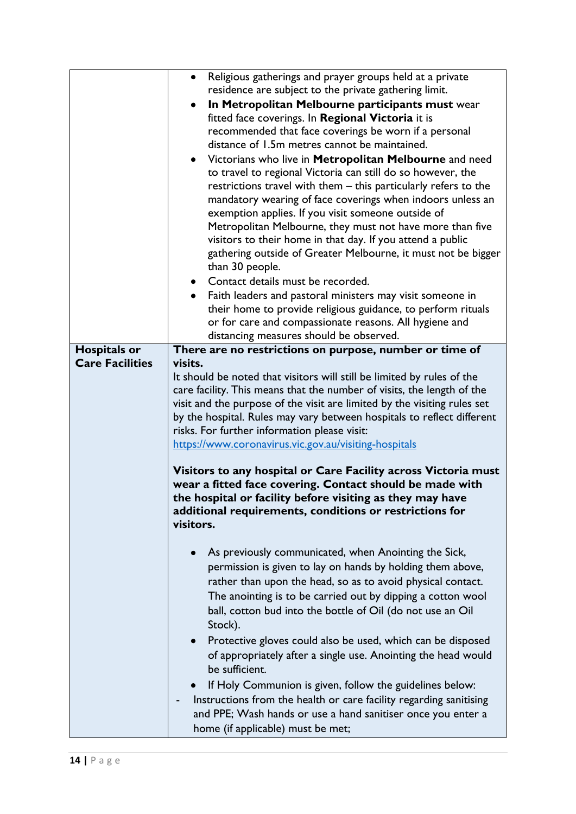|                        | Religious gatherings and prayer groups held at a private<br>$\bullet$                                                                                                                                                                                           |
|------------------------|-----------------------------------------------------------------------------------------------------------------------------------------------------------------------------------------------------------------------------------------------------------------|
|                        | residence are subject to the private gathering limit.                                                                                                                                                                                                           |
|                        |                                                                                                                                                                                                                                                                 |
|                        | In Metropolitan Melbourne participants must wear<br>$\bullet$                                                                                                                                                                                                   |
|                        | fitted face coverings. In Regional Victoria it is                                                                                                                                                                                                               |
|                        | recommended that face coverings be worn if a personal                                                                                                                                                                                                           |
|                        | distance of 1.5m metres cannot be maintained.                                                                                                                                                                                                                   |
|                        | Victorians who live in Metropolitan Melbourne and need<br>$\bullet$                                                                                                                                                                                             |
|                        | to travel to regional Victoria can still do so however, the                                                                                                                                                                                                     |
|                        | restrictions travel with them - this particularly refers to the                                                                                                                                                                                                 |
|                        | mandatory wearing of face coverings when indoors unless an                                                                                                                                                                                                      |
|                        | exemption applies. If you visit someone outside of                                                                                                                                                                                                              |
|                        | Metropolitan Melbourne, they must not have more than five                                                                                                                                                                                                       |
|                        | visitors to their home in that day. If you attend a public                                                                                                                                                                                                      |
|                        |                                                                                                                                                                                                                                                                 |
|                        | gathering outside of Greater Melbourne, it must not be bigger                                                                                                                                                                                                   |
|                        | than 30 people.                                                                                                                                                                                                                                                 |
|                        | • Contact details must be recorded.                                                                                                                                                                                                                             |
|                        | Faith leaders and pastoral ministers may visit someone in                                                                                                                                                                                                       |
|                        | their home to provide religious guidance, to perform rituals                                                                                                                                                                                                    |
|                        | or for care and compassionate reasons. All hygiene and                                                                                                                                                                                                          |
|                        | distancing measures should be observed.                                                                                                                                                                                                                         |
| <b>Hospitals or</b>    | There are no restrictions on purpose, number or time of                                                                                                                                                                                                         |
| <b>Care Facilities</b> | visits.                                                                                                                                                                                                                                                         |
|                        | It should be noted that visitors will still be limited by rules of the                                                                                                                                                                                          |
|                        | care facility. This means that the number of visits, the length of the                                                                                                                                                                                          |
|                        |                                                                                                                                                                                                                                                                 |
|                        | visit and the purpose of the visit are limited by the visiting rules set                                                                                                                                                                                        |
|                        | by the hospital. Rules may vary between hospitals to reflect different                                                                                                                                                                                          |
|                        | risks. For further information please visit:                                                                                                                                                                                                                    |
|                        | https://www.coronavirus.vic.gov.au/visiting-hospitals                                                                                                                                                                                                           |
|                        | Visitors to any hospital or Care Facility across Victoria must<br>wear a fitted face covering. Contact should be made with<br>the hospital or facility before visiting as they may have<br>additional requirements, conditions or restrictions for<br>visitors. |
|                        | As previously communicated, when Anointing the Sick,<br>$\bullet$                                                                                                                                                                                               |
|                        | permission is given to lay on hands by holding them above,                                                                                                                                                                                                      |
|                        | rather than upon the head, so as to avoid physical contact.                                                                                                                                                                                                     |
|                        | The anointing is to be carried out by dipping a cotton wool                                                                                                                                                                                                     |
|                        |                                                                                                                                                                                                                                                                 |
|                        | ball, cotton bud into the bottle of Oil (do not use an Oil                                                                                                                                                                                                      |
|                        | Stock).                                                                                                                                                                                                                                                         |
|                        | Protective gloves could also be used, which can be disposed<br>$\bullet$                                                                                                                                                                                        |
|                        | of appropriately after a single use. Anointing the head would                                                                                                                                                                                                   |
|                        | be sufficient.                                                                                                                                                                                                                                                  |
|                        |                                                                                                                                                                                                                                                                 |
|                        | If Holy Communion is given, follow the guidelines below:                                                                                                                                                                                                        |
|                        | Instructions from the health or care facility regarding sanitising                                                                                                                                                                                              |
|                        | and PPE; Wash hands or use a hand sanitiser once you enter a                                                                                                                                                                                                    |
|                        | home (if applicable) must be met;                                                                                                                                                                                                                               |